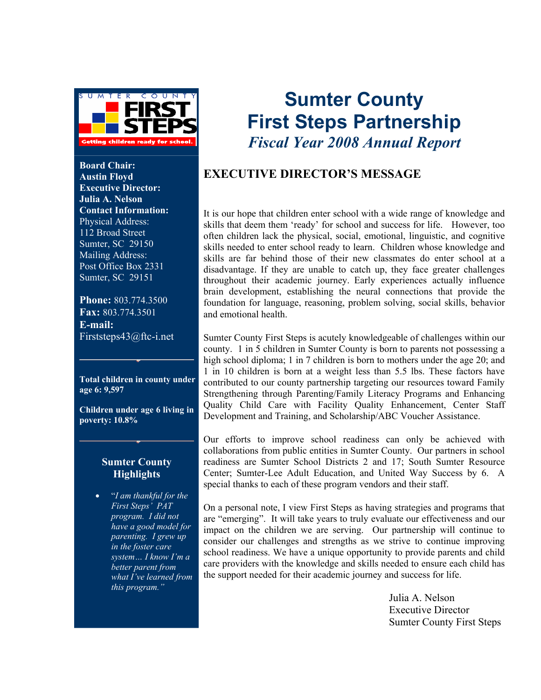

**Board Chair: Austin Floyd Executive Director: Julia A. Nelson Contact Information:**  Physical Address: 112 Broad Street Sumter, SC 29150 Mailing Address: Post Office Box 2331 Sumter, SC 29151

**Phone:** 803.774.3500 **Fax:** 803.774.3501 **E-mail:**  Firststeps43@ftc-i.net

**Total children in county under age 6: 9,597**

**Children under age 6 living in poverty: 10.8%** 

#### **Sumter County Highlights**

• "*I am thankful for the First Steps' PAT program. I did not have a good model for parenting. I grew up in the foster care system… I know I'm a better parent from what I've learned from this program."*

# **Sumter County First Steps Partnership**  *Fiscal Year 2008 Annual Report*

#### **EXECUTIVE DIRECTOR'S MESSAGE**

It is our hope that children enter school with a wide range of knowledge and skills that deem them 'ready' for school and success for life. However, too often children lack the physical, social, emotional, linguistic, and cognitive skills needed to enter school ready to learn. Children whose knowledge and skills are far behind those of their new classmates do enter school at a disadvantage. If they are unable to catch up, they face greater challenges throughout their academic journey. Early experiences actually influence brain development, establishing the neural connections that provide the foundation for language, reasoning, problem solving, social skills, behavior and emotional health.

Sumter County First Steps is acutely knowledgeable of challenges within our county. 1 in 5 children in Sumter County is born to parents not possessing a high school diploma; 1 in 7 children is born to mothers under the age 20; and 1 in 10 children is born at a weight less than 5.5 lbs. These factors have contributed to our county partnership targeting our resources toward Family Strengthening through Parenting/Family Literacy Programs and Enhancing Quality Child Care with Facility Quality Enhancement, Center Staff Development and Training, and Scholarship/ABC Voucher Assistance.

Our efforts to improve school readiness can only be achieved with collaborations from public entities in Sumter County. Our partners in school readiness are Sumter School Districts 2 and 17; South Sumter Resource Center; Sumter-Lee Adult Education, and United Way Success by 6. A special thanks to each of these program vendors and their staff.

On a personal note, I view First Steps as having strategies and programs that are "emerging". It will take years to truly evaluate our effectiveness and our impact on the children we are serving. Our partnership will continue to consider our challenges and strengths as we strive to continue improving school readiness. We have a unique opportunity to provide parents and child care providers with the knowledge and skills needed to ensure each child has the support needed for their academic journey and success for life.

> Julia A. Nelson Executive Director Sumter County First Steps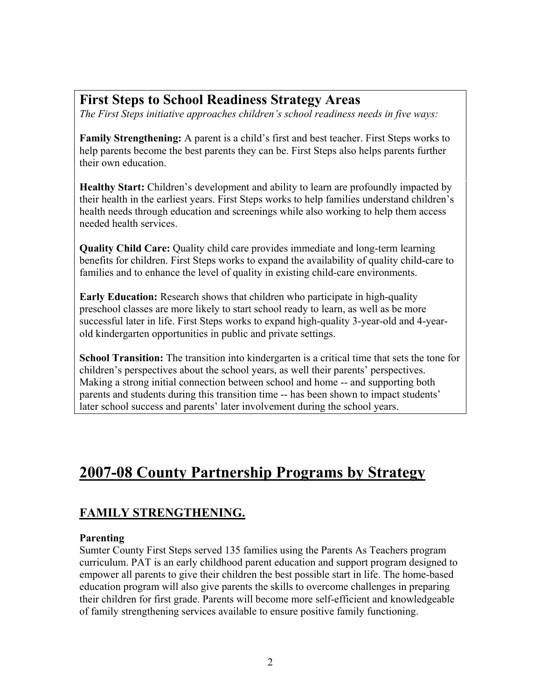### **First Steps to School Readiness Strategy Areas**

*The First Steps initiative approaches children's school readiness needs in five ways:* 

**Family Strengthening:** A parent is a child's first and best teacher. First Steps works to help parents become the best parents they can be. First Steps also helps parents further their own education.

**Healthy Start:** Children's development and ability to learn are profoundly impacted by their health in the earliest years. First Steps works to help families understand children's health needs through education and screenings while also working to help them access needed health services.

**Quality Child Care:** Quality child care provides immediate and long-term learning benefits for children. First Steps works to expand the availability of quality child-care to families and to enhance the level of quality in existing child-care environments.

**Early Education:** Research shows that children who participate in high-quality preschool classes are more likely to start school ready to learn, as well as be more successful later in life. First Steps works to expand high-quality 3-year-old and 4-yearold kindergarten opportunities in public and private settings.

**School Transition:** The transition into kindergarten is a critical time that sets the tone for children's perspectives about the school years, as well their parents' perspectives. Making a strong initial connection between school and home -- and supporting both parents and students during this transition time -- has been shown to impact students' later school success and parents' later involvement during the school years.

## **2007-08 County Partnership Programs by Strategy**

### **FAMILY STRENGTHENING.**

#### **Parenting**

Sumter County First Steps served 135 families using the Parents As Teachers program curriculum. PAT is an early childhood parent education and support program designed to empower all parents to give their children the best possible start in life. The home-based education program will also give parents the skills to overcome challenges in preparing their children for first grade. Parents will become more self-efficient and knowledgeable of family strengthening services available to ensure positive family functioning.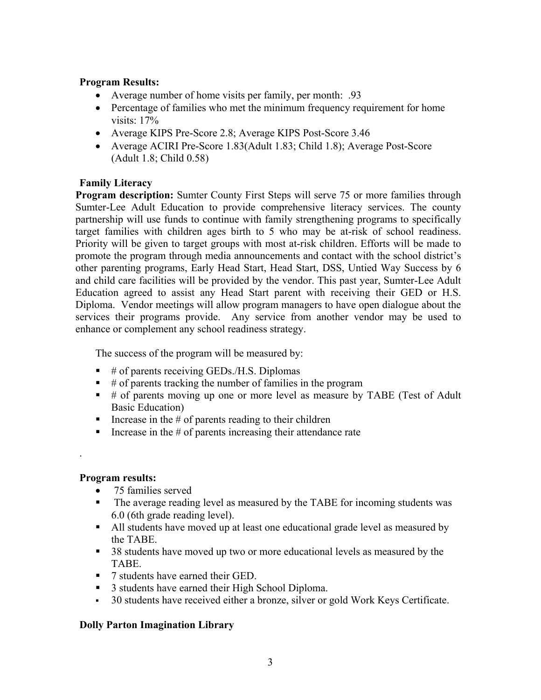#### **Program Results:**

- Average number of home visits per family, per month: .93
- Percentage of families who met the minimum frequency requirement for home visits: 17%
- Average KIPS Pre-Score 2.8; Average KIPS Post-Score 3.46
- Average ACIRI Pre-Score 1.83(Adult 1.83; Child 1.8); Average Post-Score (Adult 1.8; Child 0.58)

#### **Family Literacy**

**Program description:** Sumter County First Steps will serve 75 or more families through Sumter-Lee Adult Education to provide comprehensive literacy services. The county partnership will use funds to continue with family strengthening programs to specifically target families with children ages birth to 5 who may be at-risk of school readiness. Priority will be given to target groups with most at-risk children. Efforts will be made to promote the program through media announcements and contact with the school district's other parenting programs, Early Head Start, Head Start, DSS, Untied Way Success by 6 and child care facilities will be provided by the vendor. This past year, Sumter-Lee Adult Education agreed to assist any Head Start parent with receiving their GED or H.S. Diploma. Vendor meetings will allow program managers to have open dialogue about the services their programs provide. Any service from another vendor may be used to enhance or complement any school readiness strategy.

The success of the program will be measured by:

- $\bullet$  # of parents receiving GEDs./H.S. Diplomas
- $\bullet$  # of parents tracking the number of families in the program
- $\bullet$  # of parents moving up one or more level as measure by TABE (Test of Adult Basic Education)
- Increase in the  $#$  of parents reading to their children
- Increase in the  $#$  of parents increasing their attendance rate

#### **Program results:**

.

- 75 families served
- The average reading level as measured by the TABE for incoming students was 6.0 (6th grade reading level).
- All students have moved up at least one educational grade level as measured by the TABE.
- 38 students have moved up two or more educational levels as measured by the TABE.
- 7 students have earned their GED.
- 3 students have earned their High School Diploma.
- 30 students have received either a bronze, silver or gold Work Keys Certificate.

#### **Dolly Parton Imagination Library**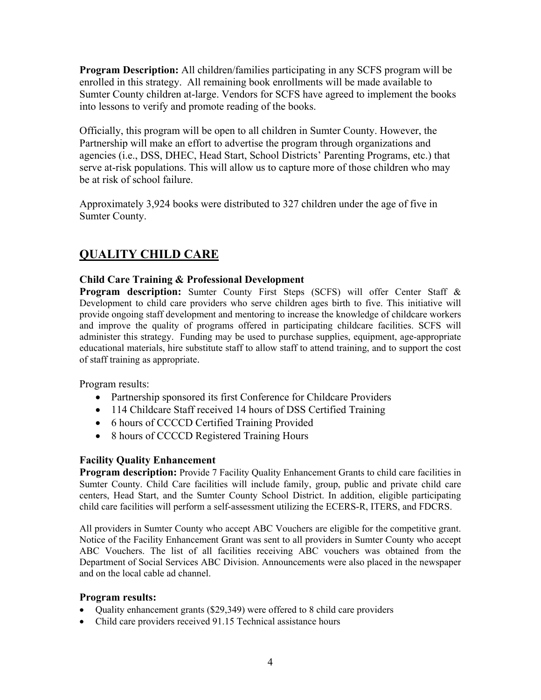**Program Description:** All children/families participating in any SCFS program will be enrolled in this strategy. All remaining book enrollments will be made available to Sumter County children at-large. Vendors for SCFS have agreed to implement the books into lessons to verify and promote reading of the books.

Officially, this program will be open to all children in Sumter County. However, the Partnership will make an effort to advertise the program through organizations and agencies (i.e., DSS, DHEC, Head Start, School Districts' Parenting Programs, etc.) that serve at-risk populations. This will allow us to capture more of those children who may be at risk of school failure.

Approximately 3,924 books were distributed to 327 children under the age of five in Sumter County.

### **QUALITY CHILD CARE**

#### **Child Care Training & Professional Development**

**Program description:** Sumter County First Steps (SCFS) will offer Center Staff & Development to child care providers who serve children ages birth to five. This initiative will provide ongoing staff development and mentoring to increase the knowledge of childcare workers and improve the quality of programs offered in participating childcare facilities. SCFS will administer this strategy. Funding may be used to purchase supplies, equipment, age-appropriate educational materials, hire substitute staff to allow staff to attend training, and to support the cost of staff training as appropriate.

Program results:

- Partnership sponsored its first Conference for Childcare Providers
- 114 Childcare Staff received 14 hours of DSS Certified Training
- 6 hours of CCCCD Certified Training Provided
- 8 hours of CCCCD Registered Training Hours

#### **Facility Quality Enhancement**

**Program description:** Provide 7 Facility Quality Enhancement Grants to child care facilities in Sumter County. Child Care facilities will include family, group, public and private child care centers, Head Start, and the Sumter County School District. In addition, eligible participating child care facilities will perform a self-assessment utilizing the ECERS-R, ITERS, and FDCRS.

All providers in Sumter County who accept ABC Vouchers are eligible for the competitive grant. Notice of the Facility Enhancement Grant was sent to all providers in Sumter County who accept ABC Vouchers. The list of all facilities receiving ABC vouchers was obtained from the Department of Social Services ABC Division. Announcements were also placed in the newspaper and on the local cable ad channel.

#### **Program results:**

- Quality enhancement grants (\$29,349) were offered to 8 child care providers
- Child care providers received 91.15 Technical assistance hours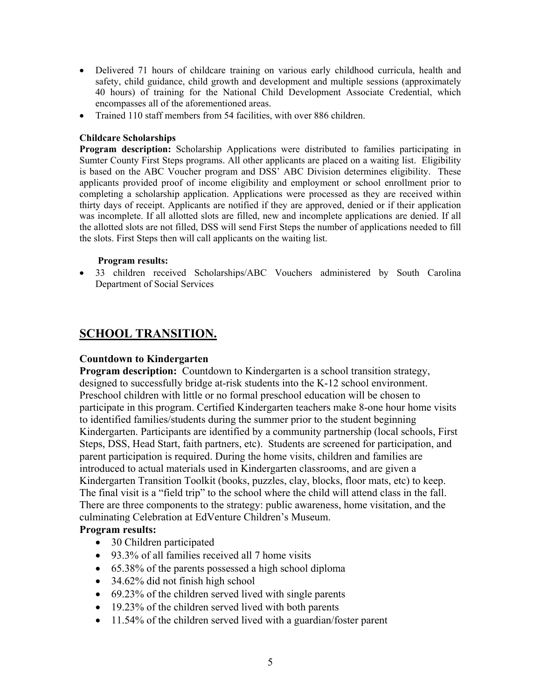- Delivered 71 hours of childcare training on various early childhood curricula, health and safety, child guidance, child growth and development and multiple sessions (approximately 40 hours) of training for the National Child Development Associate Credential, which encompasses all of the aforementioned areas.
- Trained 110 staff members from 54 facilities, with over 886 children.

#### **Childcare Scholarships**

**Program description:** Scholarship Applications were distributed to families participating in Sumter County First Steps programs. All other applicants are placed on a waiting list. Eligibility is based on the ABC Voucher program and DSS' ABC Division determines eligibility. These applicants provided proof of income eligibility and employment or school enrollment prior to completing a scholarship application. Applications were processed as they are received within thirty days of receipt. Applicants are notified if they are approved, denied or if their application was incomplete. If all allotted slots are filled, new and incomplete applications are denied. If all the allotted slots are not filled, DSS will send First Steps the number of applications needed to fill the slots. First Steps then will call applicants on the waiting list.

#### **Program results:**

• 33 children received Scholarships/ABC Vouchers administered by South Carolina Department of Social Services

#### **SCHOOL TRANSITION.**

#### **Countdown to Kindergarten**

**Program description:** Countdown to Kindergarten is a school transition strategy, designed to successfully bridge at-risk students into the K-12 school environment. Preschool children with little or no formal preschool education will be chosen to participate in this program. Certified Kindergarten teachers make 8-one hour home visits to identified families/students during the summer prior to the student beginning Kindergarten. Participants are identified by a community partnership (local schools, First Steps, DSS, Head Start, faith partners, etc). Students are screened for participation, and parent participation is required. During the home visits, children and families are introduced to actual materials used in Kindergarten classrooms, and are given a Kindergarten Transition Toolkit (books, puzzles, clay, blocks, floor mats, etc) to keep. The final visit is a "field trip" to the school where the child will attend class in the fall. There are three components to the strategy: public awareness, home visitation, and the culminating Celebration at EdVenture Children's Museum.

#### **Program results:**

- 30 Children participated
- 93.3% of all families received all 7 home visits
- 65.38% of the parents possessed a high school diploma
- 34.62% did not finish high school
- 69.23% of the children served lived with single parents
- 19.23% of the children served lived with both parents
- 11.54% of the children served lived with a guardian/foster parent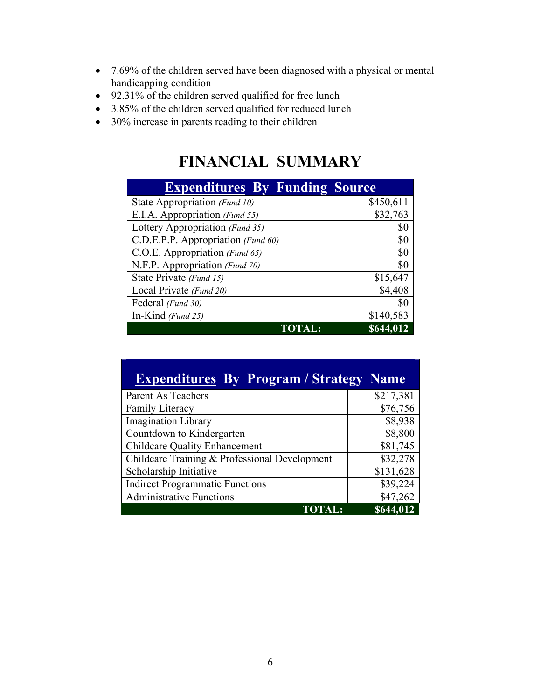- 7.69% of the children served have been diagnosed with a physical or mental handicapping condition
- 92.31% of the children served qualified for free lunch
- 3.85% of the children served qualified for reduced lunch
- 30% increase in parents reading to their children

## **FINANCIAL SUMMARY**

| <b>Expenditures By Funding Source</b> |           |
|---------------------------------------|-----------|
| State Appropriation (Fund 10)         | \$450,611 |
| E.I.A. Appropriation (Fund 55)        | \$32,763  |
| Lottery Appropriation (Fund 35)       | \$0       |
| C.D.E.P.P. Appropriation (Fund 60)    | \$0       |
| C.O.E. Appropriation (Fund 65)        | \$0       |
| N.F.P. Appropriation (Fund 70)        | \$0       |
| State Private (Fund 15)               | \$15,647  |
| Local Private (Fund 20)               | \$4,408   |
| Federal (Fund 30)                     | \$0       |
| In-Kind $(Fund 25)$                   | \$140,583 |
| <b>TOTA</b>                           | \$644,012 |

| <b>Expenditures By Program / Strategy Name</b> |           |
|------------------------------------------------|-----------|
| Parent As Teachers                             | \$217,381 |
| Family Literacy                                | \$76,756  |
| <b>Imagination Library</b>                     | \$8,938   |
| Countdown to Kindergarten                      | \$8,800   |
| <b>Childcare Quality Enhancement</b>           | \$81,745  |
| Childcare Training & Professional Development  | \$32,278  |
| Scholarship Initiative                         | \$131,628 |
| <b>Indirect Programmatic Functions</b>         | \$39,224  |
| <b>Administrative Functions</b>                | \$47,262  |
| <b>TOTAL:</b>                                  | \$644,012 |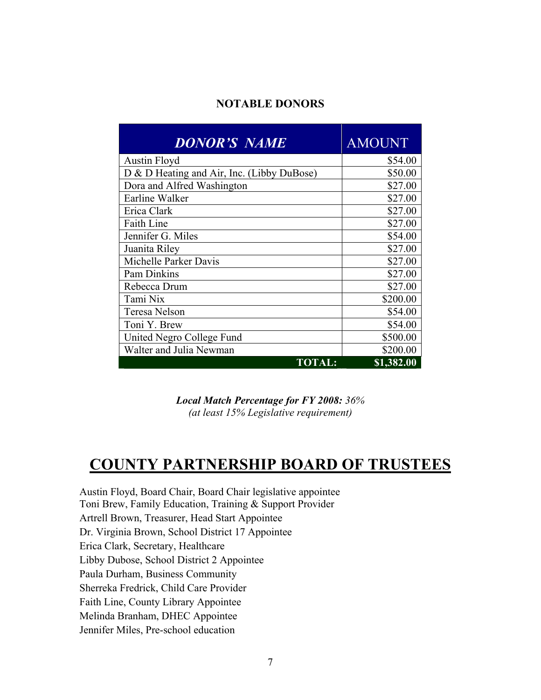#### **NOTABLE DONORS**

| <b>DONOR'S NAME</b>                        | <b>AMOUNT</b>      |
|--------------------------------------------|--------------------|
| <b>Austin Floyd</b>                        | \$54.00            |
| D & D Heating and Air, Inc. (Libby DuBose) | \$50.00            |
| Dora and Alfred Washington                 | \$27.00            |
| Earline Walker                             | \$27.00            |
| Erica Clark                                | \$27.00            |
| <b>Faith Line</b>                          | \$27.00            |
| Jennifer G. Miles                          | \$54.00            |
| Juanita Riley                              | \$27.00            |
| Michelle Parker Davis                      | \$27.00            |
| Pam Dinkins                                | \$27.00            |
| Rebecca Drum                               | \$27.00            |
| Tami Nix                                   | \$200.00           |
| Teresa Nelson                              | \$54.00            |
| Toni Y. Brew                               | \$54.00            |
| United Negro College Fund                  | \$500.00           |
| Walter and Julia Newman                    | \$200.00           |
| <b>TOTAL:</b>                              | $\sqrt{$1,382.00}$ |

*Local Match Percentage for FY 2008: 36% (at least 15% Legislative requirement)* 

## **COUNTY PARTNERSHIP BOARD OF TRUSTEES**

Austin Floyd, Board Chair, Board Chair legislative appointee Toni Brew, Family Education, Training & Support Provider Artrell Brown, Treasurer, Head Start Appointee Dr. Virginia Brown, School District 17 Appointee Erica Clark, Secretary, Healthcare Libby Dubose, School District 2 Appointee Paula Durham, Business Community Sherreka Fredrick, Child Care Provider Faith Line, County Library Appointee Melinda Branham, DHEC Appointee Jennifer Miles, Pre-school education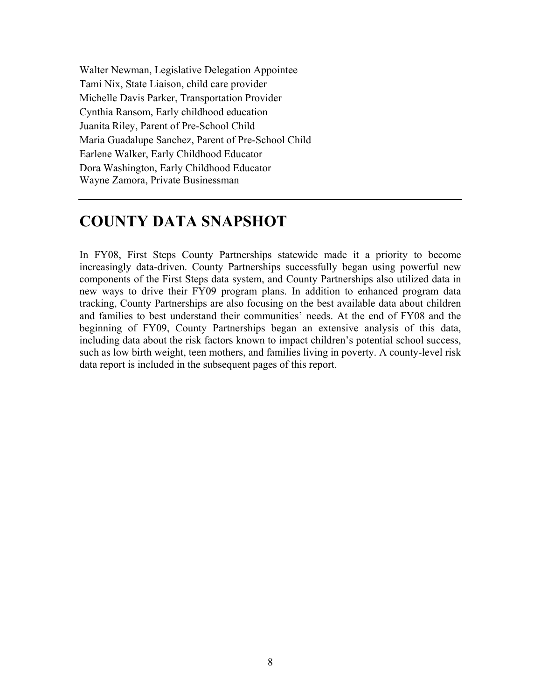Walter Newman, Legislative Delegation Appointee Tami Nix, State Liaison, child care provider Michelle Davis Parker, Transportation Provider Cynthia Ransom, Early childhood education Juanita Riley, Parent of Pre-School Child Maria Guadalupe Sanchez, Parent of Pre-School Child Earlene Walker, Early Childhood Educator Dora Washington, Early Childhood Educator Wayne Zamora, Private Businessman

## **COUNTY DATA SNAPSHOT**

In FY08, First Steps County Partnerships statewide made it a priority to become increasingly data-driven. County Partnerships successfully began using powerful new components of the First Steps data system, and County Partnerships also utilized data in new ways to drive their FY09 program plans. In addition to enhanced program data tracking, County Partnerships are also focusing on the best available data about children and families to best understand their communities' needs. At the end of FY08 and the beginning of FY09, County Partnerships began an extensive analysis of this data, including data about the risk factors known to impact children's potential school success, such as low birth weight, teen mothers, and families living in poverty. A county-level risk data report is included in the subsequent pages of this report.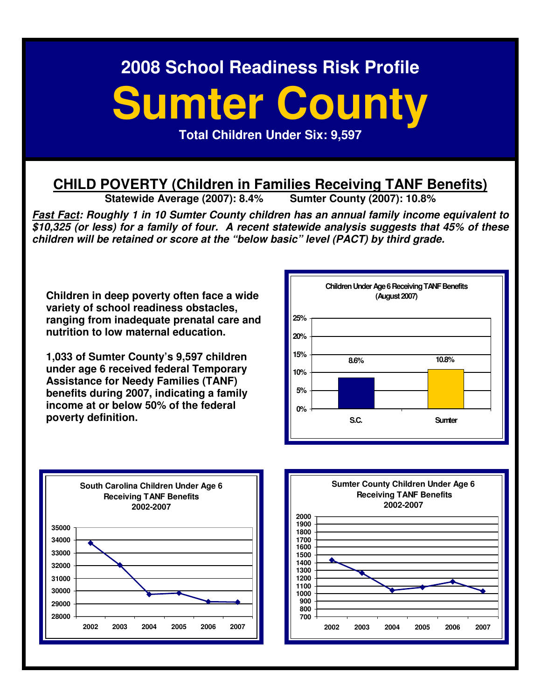# **Sumter County**

**Total Children Under Six: 9,597** 

# **CHILD POVERTY (Children in Families Receiving TANF Benefits)**<br>Statewide Average (2007): 8.4% Sumter County (2007): 10.8%

**Statewide Average (2007): 8.4%** 

**Fast Fact: Roughly 1 in 10 Sumter County children has an annual family income equivalent to \$10,325 (or less) for a family of four. A recent statewide analysis suggests that 45% of these children will be retained or score at the "below basic" level (PACT) by third grade.** 

**Children in deep poverty often face a wide variety of school readiness obstacles, ranging from inadequate prenatal care and nutrition to low maternal education.** 

**1,033 of Sumter County's 9,597 children under age 6 received federal Temporary Assistance for Needy Families (TANF) benefits during 2007, indicating a family income at or below 50% of the federal poverty definition.** 





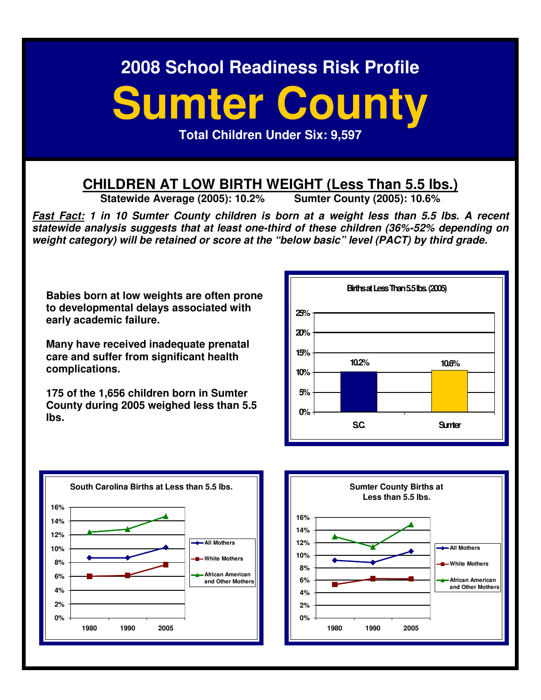# **Sumter County**

**Total Children Under Six: 9,597** 

# **CHILDREN AT LOW BIRTH WEIGHT (Less Than 5.5 lbs.)**<br>Statewide Average (2005): 10.2% Sumter County (2005): 10.6%

**Statewide Average (2005): 10.2%** 

**Fast Fact: 1 in 10 Sumter County children is born at a weight less than 5.5 lbs. A recent statewide analysis suggests that at least one-third of these children (36%-52% depending on weight category) will be retained or score at the "below basic" level (PACT) by third grade.** 

**Babies born at low weights are often prone to developmental delays associated with early academic failure.** 

**Many have received inadequate prenatal care and suffer from significant health complications.** 

**175 of the 1,656 children born in Sumter County during 2005 weighed less than 5.5 lbs.** 





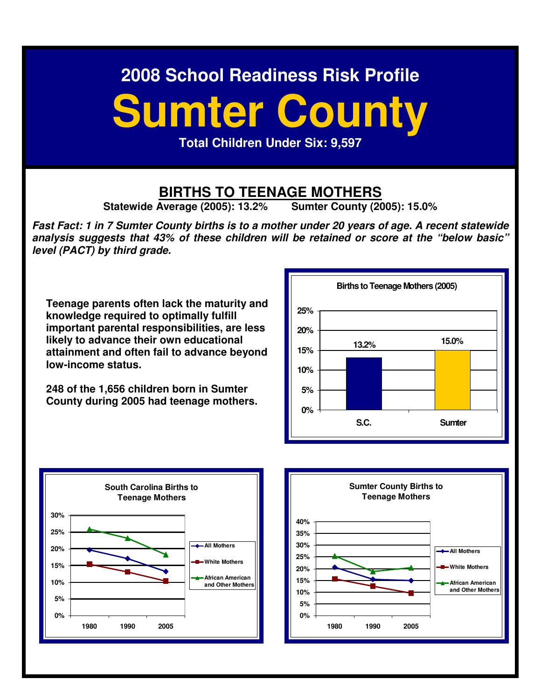# **Sumter County**

**Total Children Under Six: 9,597** 

# **BIRTHS TO TEENAGE MOTHERS**<br>Average (2005): 13.2% Sumter County (2005): 15.0%

**Statewide Average (2005): 13.2%** 

**Fast Fact: 1 in 7 Sumter County births is to a mother under 20 years of age. A recent statewide analysis suggests that 43% of these children will be retained or score at the "below basic" level (PACT) by third grade.** 

**Teenage parents often lack the maturity and knowledge required to optimally fulfill important parental responsibilities, are less likely to advance their own educational attainment and often fail to advance beyond low-income status.** 

**248 of the 1,656 children born in Sumter County during 2005 had teenage mothers.**